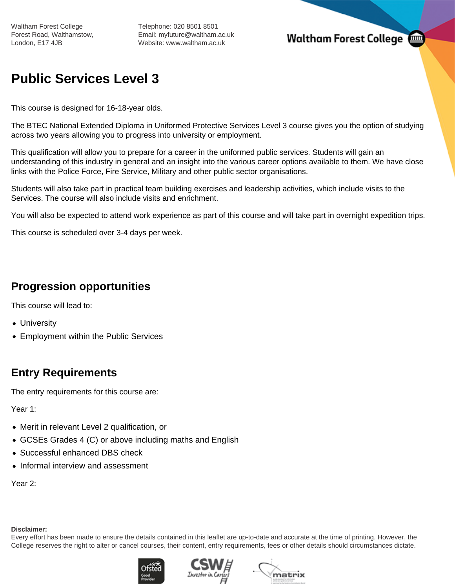Telephone: 020 8501 8501 Email: myfuture@waltham.ac.uk Website: www.waltham.ac.uk

## **Waltham Forest College**

# **Public Services Level 3**

This course is designed for 16-18-year olds.

The BTEC National Extended Diploma in Uniformed Protective Services Level 3 course gives you the option of studying across two years allowing you to progress into university or employment.

This qualification will allow you to prepare for a career in the uniformed public services. Students will gain an understanding of this industry in general and an insight into the various career options available to them. We have close links with the Police Force, Fire Service, Military and other public sector organisations.

Students will also take part in practical team building exercises and leadership activities, which include visits to the Services. The course will also include visits and enrichment.

You will also be expected to attend work experience as part of this course and will take part in overnight expedition trips.

This course is scheduled over 3-4 days per week.

### **Progression opportunities**

This course will lead to:

- University
- Employment within the Public Services

### **Entry Requirements**

The entry requirements for this course are:

Year 1:

- Merit in relevant Level 2 qualification, or
- GCSEs Grades 4 (C) or above including maths and English
- Successful enhanced DBS check
- Informal interview and assessment

Year 2:

#### **Disclaimer:**

Every effort has been made to ensure the details contained in this leaflet are up-to-date and accurate at the time of printing. However, the College reserves the right to alter or cancel courses, their content, entry requirements, fees or other details should circumstances dictate.